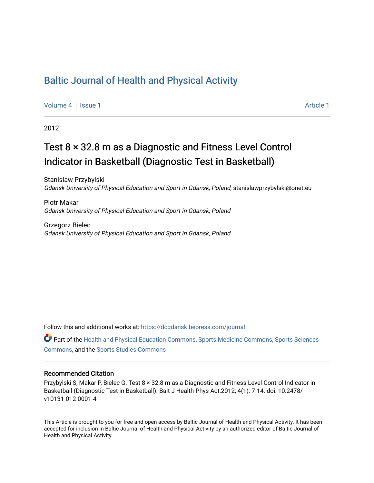## [Baltic Journal of Health and Physical Activity](https://dcgdansk.bepress.com/journal)

[Volume 4](https://dcgdansk.bepress.com/journal/vol4) | [Issue 1](https://dcgdansk.bepress.com/journal/vol4/iss1) Article 1

2012

# Test 8 × 32.8 m as a Diagnostic and Fitness Level Control Indicator in Basketball (Diagnostic Test in Basketball)

Stanislaw Przybylski Gdansk University of Physical Education and Sport in Gdansk, Poland, stanislawprzybylski@onet.eu

Piotr Makar Gdansk University of Physical Education and Sport in Gdansk, Poland

Grzegorz Bielec Gdansk University of Physical Education and Sport in Gdansk, Poland

Follow this and additional works at: [https://dcgdansk.bepress.com/journal](https://dcgdansk.bepress.com/journal?utm_source=dcgdansk.bepress.com%2Fjournal%2Fvol4%2Fiss1%2F1&utm_medium=PDF&utm_campaign=PDFCoverPages)

Part of the [Health and Physical Education Commons](http://network.bepress.com/hgg/discipline/1327?utm_source=dcgdansk.bepress.com%2Fjournal%2Fvol4%2Fiss1%2F1&utm_medium=PDF&utm_campaign=PDFCoverPages), [Sports Medicine Commons,](http://network.bepress.com/hgg/discipline/1331?utm_source=dcgdansk.bepress.com%2Fjournal%2Fvol4%2Fiss1%2F1&utm_medium=PDF&utm_campaign=PDFCoverPages) [Sports Sciences](http://network.bepress.com/hgg/discipline/759?utm_source=dcgdansk.bepress.com%2Fjournal%2Fvol4%2Fiss1%2F1&utm_medium=PDF&utm_campaign=PDFCoverPages) [Commons](http://network.bepress.com/hgg/discipline/759?utm_source=dcgdansk.bepress.com%2Fjournal%2Fvol4%2Fiss1%2F1&utm_medium=PDF&utm_campaign=PDFCoverPages), and the [Sports Studies Commons](http://network.bepress.com/hgg/discipline/1198?utm_source=dcgdansk.bepress.com%2Fjournal%2Fvol4%2Fiss1%2F1&utm_medium=PDF&utm_campaign=PDFCoverPages) 

#### Recommended Citation

Przybylski S, Makar P, Bielec G. Test 8 × 32.8 m as a Diagnostic and Fitness Level Control Indicator in Basketball (Diagnostic Test in Basketball). Balt J Health Phys Act.2012; 4(1): 7-14. doi: 10.2478/ v10131-012-0001-4

This Article is brought to you for free and open access by Baltic Journal of Health and Physical Activity. It has been accepted for inclusion in Baltic Journal of Health and Physical Activity by an authorized editor of Baltic Journal of Health and Physical Activity.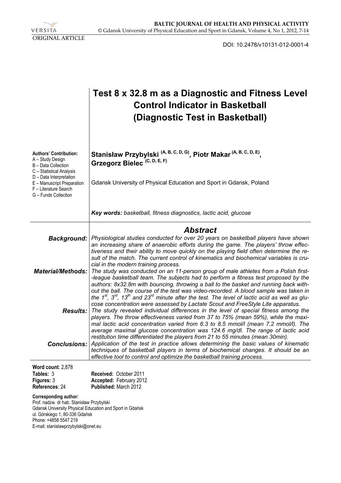VERSITA ORIGINAL ARTICLE

DOI: 10.2478/v10131-012-0001-4

|                                                                                                                                                                                                                                         | Test 8 x 32.8 m as a Diagnostic and Fitness Level<br><b>Control Indicator in Basketball</b><br>(Diagnostic Test in Basketball)                                                                                                                                                                                                                                                                                                                                                                                                                                                          |  |  |  |
|-----------------------------------------------------------------------------------------------------------------------------------------------------------------------------------------------------------------------------------------|-----------------------------------------------------------------------------------------------------------------------------------------------------------------------------------------------------------------------------------------------------------------------------------------------------------------------------------------------------------------------------------------------------------------------------------------------------------------------------------------------------------------------------------------------------------------------------------------|--|--|--|
| Authors' Contribution:<br>A - Study Design<br>B - Data Collection<br>C - Statistical Analysis<br>D - Data Interpretation<br>E - Manuscript Preparation<br>F - Literature Search<br>G - Funds Collection                                 | Stanisław Przybylski <sup>(A, B, C, D, G)</sup> , Piotr Makar <sup>(A, B, C, D, E)</sup> ,<br>Grzegorz Bielec <sup>(C, D, E, F)</sup>                                                                                                                                                                                                                                                                                                                                                                                                                                                   |  |  |  |
|                                                                                                                                                                                                                                         | Gdansk University of Physical Education and Sport in Gdansk, Poland                                                                                                                                                                                                                                                                                                                                                                                                                                                                                                                     |  |  |  |
|                                                                                                                                                                                                                                         | Key words: basketball, fitness diagnostics, lactic acid, glucose                                                                                                                                                                                                                                                                                                                                                                                                                                                                                                                        |  |  |  |
| Background:                                                                                                                                                                                                                             | <b>Abstract</b><br>Physiological studies conducted for over 20 years on basketball players have shown<br>an increasing share of anaerobic efforts during the game. The players' throw effec-                                                                                                                                                                                                                                                                                                                                                                                            |  |  |  |
| <b>Material/Methods:</b>                                                                                                                                                                                                                | tiveness and their ability to move quickly on the playing field often determine the re-<br>sult of the match. The current control of kinematics and biochemical variables is cru-<br>cial in the modern training process.<br>The study was conducted on an 11-person group of male athletes from a Polish first-<br>-league basketball team. The subjects had to perform a fitness test proposed by the<br>authors: 8x32.8m with bouncing, throwing a ball to the basket and running back with-<br>out the ball. The course of the test was video-recorded. A blood sample was taken in |  |  |  |
|                                                                                                                                                                                                                                         | the 1 <sup>st</sup> , 3 <sup>rd</sup> , 13 <sup>th</sup> and 23 <sup>rd</sup> minute after the test. The level of lactic acid as well as glu-<br>cose concentration were assessed by Lactate Scout and FreeStyle Lite apparatus.<br><b>Results:</b> The study revealed individual differences in the level of special fitness among the<br>players. The throw effectiveness varied from 37 to 75% (mean 59%), while the maxi-<br>mal lactic acid concentration varied from 6.3 to 8.5 mmol/l (mean 7.2 mmol/l). The                                                                     |  |  |  |
|                                                                                                                                                                                                                                         | average maximal glucose concentration was 124.6 mg/dl. The range of lactic acid<br>restitution time differentiated the players from 21 to 55 minutes (mean 30min).<br><b>Conclusions:</b> Application of the test in practice allows determining the basic values of kinematic<br>techniques of basketball players in terms of biochemical changes. It should be an<br>effective tool to control and optimize the basketball training process.                                                                                                                                          |  |  |  |
| Word count: 2,878<br>Tables: 3                                                                                                                                                                                                          | Received: October 2011                                                                                                                                                                                                                                                                                                                                                                                                                                                                                                                                                                  |  |  |  |
| Figures: 3<br>References: 24                                                                                                                                                                                                            | Accepted: February 2012<br><b>Published: March 2012</b>                                                                                                                                                                                                                                                                                                                                                                                                                                                                                                                                 |  |  |  |
| <b>Corresponding author:</b><br>Prof. nadzw. dr hab. Stanisław Przybylski<br>Gdansk University Physical Education and Sport in Gdańsk<br>ul. Górskiego 1, 80-336 Gdańsk<br>Phone: +4858 5547 219<br>E-mail: stanislawprzybylski@onet.eu |                                                                                                                                                                                                                                                                                                                                                                                                                                                                                                                                                                                         |  |  |  |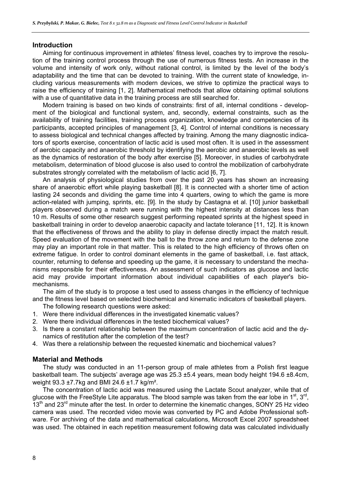#### **Introduction**

Aiming for continuous improvement in athletes' fitness level, coaches try to improve the resolution of the training control process through the use of numerous fitness tests. An increase in the volume and intensity of work only, without rational control, is limited by the level of the body's adaptability and the time that can be devoted to training. With the current state of knowledge, including various measurements with modern devices, we strive to optimize the practical ways to raise the efficiency of training [1, 2]. Mathematical methods that allow obtaining optimal solutions with a use of quantitative data in the training process are still searched for.

Modern training is based on two kinds of constraints: first of all, internal conditions - development of the biological and functional system, and, secondly, external constraints, such as the availability of training facilities, training process organization, knowledge and competencies of its participants, accepted principles of management [3, 4]. Control of internal conditions is necessary to assess biological and technical changes affected by training. Among the many diagnostic indicators of sports exercise, concentration of lactic acid is used most often. It is used in the assessment of aerobic capacity and anaerobic threshold by identifying the aerobic and anaerobic levels as well as the dynamics of restoration of the body after exercise [5]. Moreover, in studies of carbohydrate metabolism, determination of blood glucose is also used to control the mobilization of carbohydrate substrates strongly correlated with the metabolism of lactic acid [6, 7].

An analysis of physiological studies from over the past 20 years has shown an increasing share of anaerobic effort while playing basketball [8]. It is connected with a shorter time of action lasting 24 seconds and dividing the game time into 4 quarters, owing to which the game is more action-related with jumping, sprints, etc. [9]. In the study by Castagna et al. [10] junior basketball players observed during a match were running with the highest intensity at distances less than 10 m. Results of some other research suggest performing repeated sprints at the highest speed in basketball training in order to develop anaerobic capacity and lactate tolerance [11, 12]. It is known that the effectiveness of throws and the ability to play in defense directly impact the match result. Speed evaluation of the movement with the ball to the throw zone and return to the defense zone may play an important role in that matter. This is related to the high efficiency of throws often on extreme fatigue. In order to control dominant elements in the game of basketball, i.e. fast attack, counter, returning to defense and speeding up the game, it is necessary to understand the mechanisms responsible for their effectiveness. An assessment of such indicators as glucose and lactic acid may provide important information about individual capabilities of each player's biomechanisms.

The aim of the study is to propose a test used to assess changes in the efficiency of technique and the fitness level based on selected biochemical and kinematic indicators of basketball players.

The following research questions were asked:

- 1. Were there individual differences in the investigated kinematic values?
- 2. Were there individual differences in the tested biochemical values?
- 3. Is there a constant relationship between the maximum concentration of lactic acid and the dynamics of restitution after the completion of the test?
- 4. Was there a relationship between the requested kinematic and biochemical values?

#### **Material and Methods**

The study was conducted in an 11-person group of male athletes from a Polish first league basketball team. The subjects' average age was 25.3 ±5.4 years, mean body height 194.6 ±8.4cm, weight 93.3 ±7.7kg and BMI 24.6 ±1.7 kg/m².

The concentration of lactic acid was measured using the Lactate Scout analyzer, while that of glucose with the FreeStyle Lite apparatus. The blood sample was taken from the ear lobe in  $1<sup>st</sup>$ ,  $3<sup>rd</sup>$ ,  $13<sup>th</sup>$  and  $23<sup>rd</sup>$  minute after the test. In order to determine the kinematic changes, SONY 25 Hz video camera was used. The recorded video movie was converted by PC and Adobe Professional software. For archiving of the data and mathematical calculations, Microsoft Excel 2007 spreadsheet was used. The obtained in each repetition measurement following data was calculated individually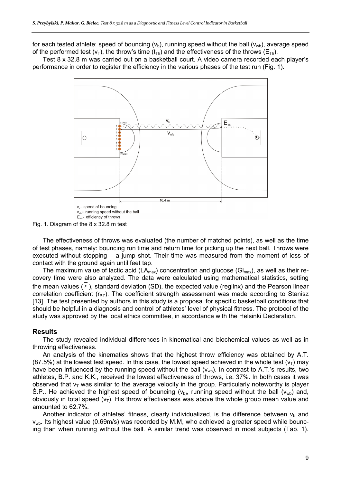for each tested athlete: speed of bouncing  $(v<sub>b</sub>)$ , running speed without the ball  $(v<sub>wb</sub>)$ , average speed of the performed test  $(v_T)$ , the throw's time  $(t_T)$  and the effectiveness of the throws  $(E_{Th})$ .

Test 8 x 32.8 m was carried out on a basketball court. A video camera recorded each player's performance in order to register the efficiency in the various phases of the test run (Fig. 1).



Fig. 1. Diagram of the 8 x 32.8 m test

The effectiveness of throws was evaluated (the number of matched points), as well as the time of test phases, namely: bouncing run time and return time for picking up the next ball. Throws were executed without stopping – a jump shot. Their time was measured from the moment of loss of contact with the ground again until feet tap.

The maximum value of lactic acid ( $LA_{max}$ ) concentration and glucose ( $Gl_{max}$ ), as well as their recovery time were also analyzed. The data were calculated using mathematical statistics, setting the mean values  $(\overline{x})$ , standard deviation (SD), the expected value (reglinx) and the Pearson linear correlation coefficient  $(r_{XY})$ . The coefficient strength assessment was made according to Stanisz [13]. The test presented by authors in this study is a proposal for specific basketball conditions that should be helpful in a diagnosis and control of athletes' level of physical fitness. The protocol of the study was approved by the local ethics committee, in accordance with the Helsinki Declaration.

### **Results**

The study revealed individual differences in kinematical and biochemical values as well as in throwing effectiveness.

An analysis of the kinematics shows that the highest throw efficiency was obtained by A.T.  $(87.5%)$  at the lowest test speed. In this case, the lowest speed achieved in the whole test  $(v<sub>T</sub>)$  may have been influenced by the running speed without the ball  $(v_{wb})$ . In contrast to A.T.'s results, two athletes, B.P. and K.K., received the lowest effectiveness of throws, i.e. 37%. In both cases it was observed that  $v<sub>T</sub>$  was similar to the average velocity in the group. Particularly noteworthy is player S.P.. He achieved the highest speed of bouncing ( $v_{\rm b}$ ), running speed without the ball ( $v_{\rm wb}$ ) and, obviously in total speed  $(v<sub>T</sub>)$ . His throw effectiveness was above the whole group mean value and amounted to 62.7%.

Another indicator of athletes' fitness, clearly individualized, is the difference between  $v<sub>b</sub>$  and v<sub>wb</sub>. Its highest value (0.69m/s) was recorded by M.M, who achieved a greater speed while bouncing than when running without the ball. A similar trend was observed in most subjects (Tab. 1).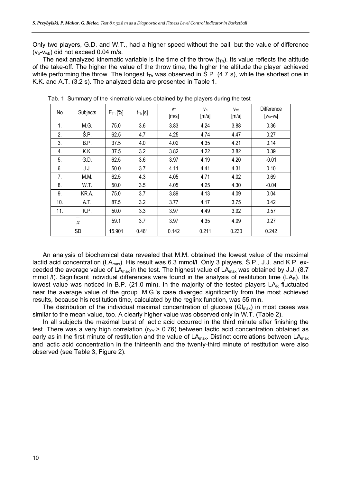Only two players, G.D. and W.T., had a higher speed without the ball, but the value of difference  $(v_b-v_{wb})$  did not exceed 0.04 m/s.

The next analyzed kinematic variable is the time of the throw  $(t_{Th})$ . Its value reflects the altitude of the take-off. The higher the value of the throw time, the higher the altitude the player achieved while performing the throw. The longest  $t_{Th}$  was observed in S.P. (4.7 s), while the shortest one in K.K. and A.T. (3.2 s). The analyzed data are presented in Table 1.

| No  | Subjects      | $E_{\text{Th}}$ [%] | $t_{\text{Th}}$ [s] | <b>V</b> T<br>[m/s] | Vb<br>[m/s] | Vwb<br>[m/s] | Difference<br>$[Vbk-Vb]$ |
|-----|---------------|---------------------|---------------------|---------------------|-------------|--------------|--------------------------|
| 1.  | M.G.          | 75.0                | 3.6                 | 3.83                | 4.24        | 3.88         | 0.36                     |
| 2.  | Ś.P.          | 62.5                | 4.7                 | 4.25                | 4.74        | 4.47         | 0.27                     |
| 3.  | B.P.          | 37.5                | 4.0                 | 4.02                | 4.35        | 4.21         | 0.14                     |
| 4.  | K.K.          | 37.5                | 3.2                 | 3.82                | 4.22        | 3.82         | 0.39                     |
| 5.  | G.D.          | 62.5                | 3.6                 | 3.97                | 4.19        | 4.20         | $-0.01$                  |
| 6.  | J.J.          | 50.0                | 3.7                 | 4.11                | 4.41        | 4.31         | 0.10                     |
| 7.  | M.M.          | 62.5                | 4.3                 | 4.05                | 4.71        | 4.02         | 0.69                     |
| 8.  | W.T.          | 50.0                | 3.5                 | 4.05                | 4.25        | 4.30         | $-0.04$                  |
| 9.  | KR.A.         | 75.0                | 3.7                 | 3.89                | 4.13        | 4.09         | 0.04                     |
| 10. | A.T.          | 87.5                | 3.2                 | 3.77                | 4.17        | 3.75         | 0.42                     |
| 11. | K.P.          | 50.0                | 3.3                 | 3.97                | 4.49        | 3.92         | 0.57                     |
|     | $\mathcal{X}$ | 59.1                | 3.7                 | 3.97                | 4.35        | 4.09         | 0.27                     |
|     | <b>SD</b>     | 15.901              | 0.461               | 0.142               | 0.211       | 0.230        | 0.242                    |

Tab. 1. Summary of the kinematic values obtained by the players during the test

An analysis of biochemical data revealed that M.M. obtained the lowest value of the maximal lactid acid concentration (LA<sub>max</sub>). His result was 6.3 mmol/l. Only 3 players, S.P., J.J. and K.P. exceeded the average value of  $LA<sub>max</sub>$  in the test. The highest value of  $LA<sub>max</sub>$  was obtained by J.J. (8.7) mmol  $\ell$ ). Significant individual differences were found in the analysis of restitution time (LAR). Its lowest value was noticed in B.P. (21.0 min). In the majority of the tested players  $LA<sub>R</sub>$  fluctuated near the average value of the group. M.G.'s case diverged significantly from the most achieved results, because his restitution time, calculated by the reglinx function, was 55 min.

The distribution of the individual maximal concentration of glucose  $(G|_{max})$  in most cases was similar to the mean value, too. A clearly higher value was observed only in W.T. (Table 2).

In all subjects the maximal burst of lactic acid occurred in the third minute after finishing the test. There was a very high correlation ( $r_{XY}$  > 0.76) between lactic acid concentration obtained as early as in the first minute of restitution and the value of  $LA<sub>max</sub>$ . Distinct correlations between  $LA<sub>max</sub>$ and lactic acid concentration in the thirteenth and the twenty-third minute of restitution were also observed (see Table 3, Figure 2).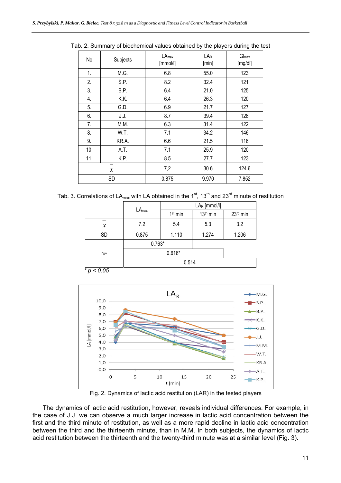| No                                           | Subjects | $LA_{max}$<br>[mmol/l] | LA <sub>R</sub><br>[min] | $G _{max}$<br>[mg/d!] |
|----------------------------------------------|----------|------------------------|--------------------------|-----------------------|
| 1.                                           | M.G.     | 6.8                    | 55.0                     | 123                   |
| 2.                                           | Ś.P.     | 8.2                    | 32.4                     | 121                   |
| 3.                                           | B.P.     | 6.4                    | 21.0                     | 125                   |
| 4.                                           | K.K.     | 6.4                    | 26.3                     | 120                   |
| 5.                                           | G.D.     | 6.9                    | 21.7                     | 127                   |
| 6.                                           | J.J.     | 8.7                    | 39.4                     | 128                   |
| 7.                                           | M.M.     | 6.3                    | 31.4                     | 122                   |
| 8.                                           | W.T.     | 7.1                    | 34.2                     | 146                   |
| 9.                                           | KR.A.    | 6.6                    | 21.5                     | 116                   |
| 10.                                          | A.T.     | 7.1                    | 25.9                     | 120                   |
| 11.                                          | K.P.     | 8.5                    | 27.7                     | 123                   |
| $\overline{\phantom{0}}$<br>$\boldsymbol{x}$ |          | 7,2                    | 30.6                     | 124.6                 |
| SD                                           |          | 0.875                  | 9.970                    | 7.852                 |

Tab. 2. Summary of biochemical values obtained by the players during the test

Tab. 3. Correlations of LA<sub>max</sub> with LA obtained in the 1<sup>st</sup>, 13<sup>th</sup> and 23<sup>rd</sup> minute of restitution

|                   |            | LAR [mmol/l]        |                      |          |
|-------------------|------------|---------------------|----------------------|----------|
|                   | $LA_{max}$ | 1 <sup>st</sup> min | 13 <sup>th</sup> min | 23rd min |
| $\boldsymbol{x}$  | 7.2        | 5.4                 | 5.3                  | 3.2      |
| <b>SD</b>         | 0.875      | 1.110               | 1.274                | 1.206    |
|                   | $0.763*$   |                     |                      |          |
| r <sub>XY</sub>   |            |                     |                      |          |
|                   |            |                     |                      |          |
| $*_{p}$<br>< 0.05 |            |                     |                      |          |



Fig. 2. Dynamics of lactic acid restitution (LAR) in the tested players

The dynamics of lactic acid restitution, however, reveals individual differences. For example, in the case of J.J. we can observe a much larger increase in lactic acid concentration between the first and the third minute of restitution, as well as a more rapid decline in lactic acid concentration between the third and the thirteenth minute, than in M.M. In both subjects, the dynamics of lactic acid restitution between the thirteenth and the twenty-third minute was at a similar level (Fig. 3).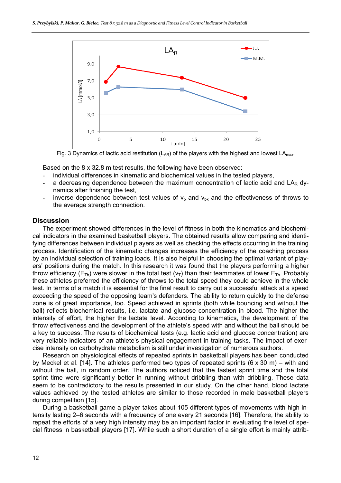

Fig. 3 Dynamics of lactic acid restitution ( $L_{AR}$ ) of the players with the highest and lowest  $LA_{max}$ .

Based on the 8 x 32.8 m test results, the following have been observed:

- individual differences in kinematic and biochemical values in the tested players,
- a decreasing dependence between the maximum concentration of lactic acid and  $LA<sub>R</sub>$  dynamics after finishing the test,
- inverse dependence between test values of  $v<sub>b</sub>$  and  $v<sub>bk</sub>$  and the effectiveness of throws to the average strength connection.

#### **Discussion**

The experiment showed differences in the level of fitness in both the kinematics and biochemical indicators in the examined basketball players. The obtained results allow comparing and identifying differences between individual players as well as checking the effects occurring in the training process. Identification of the kinematic changes increases the efficiency of the coaching process by an individual selection of training loads. It is also helpful in choosing the optimal variant of players' positions during the match. In this research it was found that the players performing a higher throw efficiency ( $E_{Th}$ ) were slower in the total test ( $v<sub>T</sub>$ ) than their teammates of lower  $E_{Th}$ . Probably these athletes preferred the efficiency of throws to the total speed they could achieve in the whole test. In terms of a match it is essential for the final result to carry out a successful attack at a speed exceeding the speed of the opposing team's defenders. The ability to return quickly to the defense zone is of great importance, too. Speed achieved in sprints (both while bouncing and without the ball) reflects biochemical results, i.e. lactate and glucose concentration in blood. The higher the intensity of effort, the higher the lactate level. According to kinematics, the development of the throw effectiveness and the development of the athlete's speed with and without the ball should be a key to success. The results of biochemical tests (e.g. lactic acid and glucose concentration) are very reliable indicators of an athlete's physical engagement in training tasks. The impact of exercise intensity on carbohydrate metabolism is still under investigation of numerous authors.

Research on physiological effects of repeated sprints in basketball players has been conducted by Meckel et al. [14]. The athletes performed two types of repeated sprints (6 x 30 m) – with and without the ball, in random order. The authors noticed that the fastest sprint time and the total sprint time were significantly better in running without dribbling than with dribbling. These data seem to be contradictory to the results presented in our study. On the other hand, blood lactate values achieved by the tested athletes are similar to those recorded in male basketball players during competition [15].

During a basketball game a player takes about 105 different types of movements with high intensity lasting 2–6 seconds with a frequency of one every 21 seconds [16]. Therefore, the ability to repeat the efforts of a very high intensity may be an important factor in evaluating the level of special fitness in basketball players [17]. While such a short duration of a single effort is mainly attrib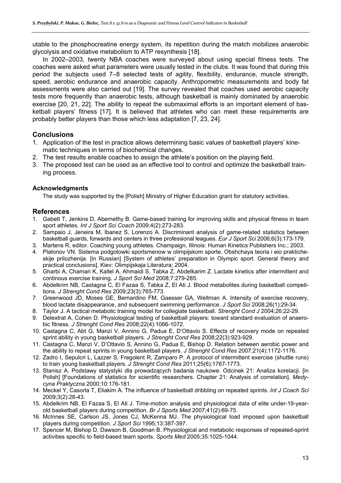utable to the phosphocreatine energy system, its repetition during the match mobilizes anaerobic glycolysis and oxidative metabolism to ATP resynthesis [18].

In 2002–2003, twenty NBA coaches were surveyed about using special fitness tests. The coaches were asked what parameters were usually tested in the clubs. It was found that during this period the subjects used 7–8 selected tests of agility, flexibility, endurance, muscle strength, speed, aerobic endurance and anaerobic capacity. Anthropometric measurements and body fat assessments were also carried out [19]. The survey revealed that coaches used aerobic capacity tests more frequently than anaerobic tests, although basketball is mainly dominated by anaerobic exercise [20, 21, 22]. The ability to repeat the submaximal efforts is an important element of basketball players' fitness [17]. It is believed that athletes who can meet these requirements are probably better players than those which less adaptation [7, 23, 24].

### **Conclusions**

- 1. Application of the test in practice allows determining basic values of basketball players' kinematic techniques in terms of biochemical changes.
- 2. The test results enable coaches to assign the athlete's position on the playing field.
- 3. The proposed test can be used as an effective tool to control and optimize the basketball training process.

#### **Acknowledgments**

The study was supported by the [Polish] Ministry of Higher Education grant for statutory activities.

### **References**

- 1. Gabett T, Jenkins D, Abernethy B. Game-based training for improving skills and physical fitness in team sport athletes. *Int J Sport Sci Coach* 2009;4(2):273-283.
- 2. Sampaio J, Jeneira M, Ibanez S, Lorenzo A. Discriminant analysis of game-related statistics between basketball guards, forwards and centers in three professional leagues. *Eur J Sport Sci* 2006;6(3):173-179.
- 3. Martens R, editor. Coaching young athletes. Champaign, Illinois: Human Kinetics Publishers Inc.; 2003.
- 4. Platonov VN. Sistema podgotowki sportsmenow w olimpijskom sporte. Obshchaya teoria i eio prakticheskije prilozhenija. [in Russian] [System of athletes' preparation in Olympic sport. General theory and practical conclusions]. Kiev: Olimpijskaja Literatura; 2004.
- 5. Gharbi A, Chamari K, Kallel A, Ahmaidi S, Tabka Z, Abdelkarim Z. Lactate kinetics after intermittent and continous exercise training. *J Sport Sci Med* 2008;7:279-285.
- 6. Abdelkrim NB, Castagna C, El Fazaa S, Tabka Z, El Ati J. Blood metabolites during basketball competitions. *J Strenght Cond Res* 2009;23(3):765-773.
- 7. Greenwood JD, Moses GE, Bernardino FM, Gaesser GA, Weltman A. Intensity of exercise recovery, blood lactate disappearance, and subsequent swimming performance. *J Sport Sci* 2008;26(1):29-34.
- 8. Taylor J. A tactical metabolic training model for collegiate basketball. *Strenght Cond J* 2004;26:22-29.
- 9. Delextrat A, Cohen D. Physiological testing of basketball players: toward standard evaluation of anaerobic fitness. *J Strenght Cond Res* 2008;22(4):1066-1072.
- 10. Castagna C, Abt G, Manzi V, Annino G, Padua E, D'Ottavio S. Effects of recovery mode on repeated sprint ability in young basketball players. *J Strenght Cond Res* 2008;22(3):923-929.
- 11. Castagna C, Manzi V, D'Ottavio S, Annino G, Padua E, Bishop D. Relation between aerobic power and the ability to repeat sprints in young basketball players. *J Strenght Cond Res* 2007;21(4):1172-1176.
- 12. Zadro I, Sepulcri L, Lazzer S, Fregolent R, Zamparo P. A protocol of intermittent exercise (shuttle runs) to train young basketball players. *J Strenght Cond Res* 2011;25(6):1767-1773.
- 13. Stanisz A. Podstawy statystyki dla prowadzących badania naukowe. Odcinek 21: Analiza korelacji. [in Polish] [Foundations of statistics for scientific researchers. Chapter 21: Analysis of correlation]. *Medycyna Praktyczna* 2000;10:176-181.
- 14. Meckel Y, Casorla T, Eliakim A. The influence of basketball dribbling on repeated sprints. *Int J Coach Sci* 2009;3(2):28-43.
- 15. Abdelkrim NB, El Fazaa S, El Ati J. Time-motion analysis and physiological data of elite under-19-yearold basketball players during competition. *Br J Sports Med* 2007;41(2):69-75.
- 16. McInnes SE, Carlson JS, Jones CJ, McKenna MJ. The physiological load imposed upon basketball players during competition. *J Sport Sci* 1995;13:387-397.
- 17. Spencer M, Bishop D, Dawson B, Goodman B. Physiological and metabolic responses of repeated-sprint activities specific to field-based team sports. *Sports Med* 2005;35:1025-1044.